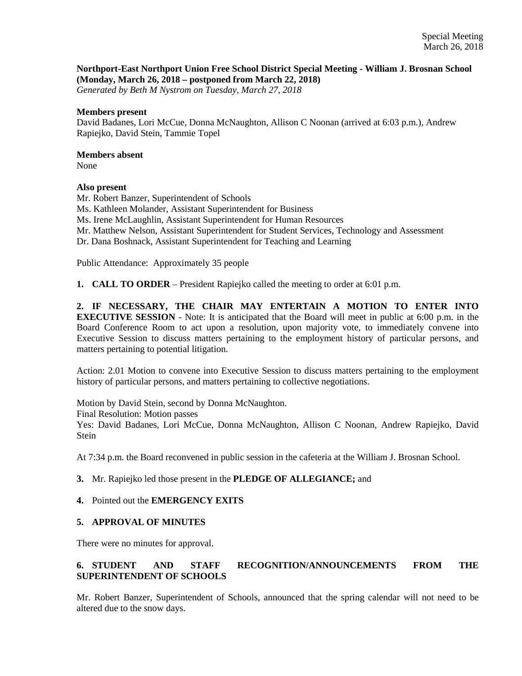### **Northport-East Northport Union Free School District Special Meeting - William J. Brosnan School (Monday, March 26, 2018 – postponed from March 22, 2018)**

*Generated by Beth M Nystrom on Tuesday, March 27, 2018*

#### **Members present**

David Badanes, Lori McCue, Donna McNaughton, Allison C Noonan (arrived at 6:03 p.m.), Andrew Rapiejko, David Stein, Tammie Topel

### **Members absent**

None

### **Also present**

Mr. Robert Banzer, Superintendent of Schools Ms. Kathleen Molander, Assistant Superintendent for Business Ms. Irene McLaughlin, Assistant Superintendent for Human Resources Mr. Matthew Nelson, Assistant Superintendent for Student Services, Technology and Assessment Dr. Dana Boshnack, Assistant Superintendent for Teaching and Learning

Public Attendance: Approximately 35 people

**1. CALL TO ORDER** – President Rapiejko called the meeting to order at 6:01 p.m.

**2. IF NECESSARY, THE CHAIR MAY ENTERTAIN A MOTION TO ENTER INTO EXECUTIVE SESSION** - Note: It is anticipated that the Board will meet in public at 6:00 p.m. in the Board Conference Room to act upon a resolution, upon majority vote, to immediately convene into Executive Session to discuss matters pertaining to the employment history of particular persons, and matters pertaining to potential litigation.

Action: 2.01 Motion to convene into Executive Session to discuss matters pertaining to the employment history of particular persons, and matters pertaining to collective negotiations.

Motion by David Stein, second by Donna McNaughton.

Final Resolution: Motion passes

Yes: David Badanes, Lori McCue, Donna McNaughton, Allison C Noonan, Andrew Rapiejko, David **Stein** 

At 7:34 p.m. the Board reconvened in public session in the cafeteria at the William J. Brosnan School.

### **3.** Mr. Rapiejko led those present in the **PLEDGE OF ALLEGIANCE;** and

### **4.** Pointed out the **EMERGENCY EXITS**

### **5. APPROVAL OF MINUTES**

There were no minutes for approval.

# **6. STUDENT AND STAFF RECOGNITION/ANNOUNCEMENTS FROM THE SUPERINTENDENT OF SCHOOLS**

Mr. Robert Banzer, Superintendent of Schools, announced that the spring calendar will not need to be altered due to the snow days.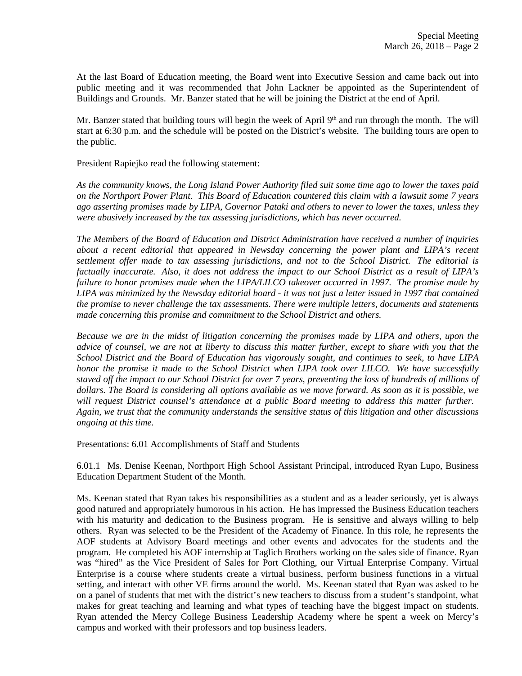At the last Board of Education meeting, the Board went into Executive Session and came back out into public meeting and it was recommended that John Lackner be appointed as the Superintendent of Buildings and Grounds. Mr. Banzer stated that he will be joining the District at the end of April.

Mr. Banzer stated that building tours will begin the week of April 9<sup>th</sup> and run through the month. The will start at 6:30 p.m. and the schedule will be posted on the District's website. The building tours are open to the public.

President Rapiejko read the following statement:

*As the community knows, the Long Island Power Authority filed suit some time ago to lower the taxes paid on the Northport Power Plant. This Board of Education countered this claim with a lawsuit some 7 years ago asserting promises made by LIPA, Governor Pataki and others to never to lower the taxes, unless they were abusively increased by the tax assessing jurisdictions, which has never occurred.* 

*The Members of the Board of Education and District Administration have received a number of inquiries about a recent editorial that appeared in Newsday concerning the power plant and LIPA's recent settlement offer made to tax assessing jurisdictions, and not to the School District. The editorial is factually inaccurate. Also, it does not address the impact to our School District as a result of LIPA's failure to honor promises made when the LIPA/LILCO takeover occurred in 1997. The promise made by LIPA was minimized by the Newsday editorial board - it was not just a letter issued in 1997 that contained the promise to never challenge the tax assessments. There were multiple letters, documents and statements made concerning this promise and commitment to the School District and others.* 

*Because we are in the midst of litigation concerning the promises made by LIPA and others, upon the advice of counsel, we are not at liberty to discuss this matter further, except to share with you that the School District and the Board of Education has vigorously sought, and continues to seek, to have LIPA honor the promise it made to the School District when LIPA took over LILCO. We have successfully staved off the impact to our School District for over 7 years, preventing the loss of hundreds of millions of dollars. The Board is considering all options available as we move forward. As soon as it is possible, we will request District counsel's attendance at a public Board meeting to address this matter further. Again, we trust that the community understands the sensitive status of this litigation and other discussions ongoing at this time.* 

Presentations: 6.01 Accomplishments of Staff and Students

6.01.1 Ms. Denise Keenan, Northport High School Assistant Principal, introduced Ryan Lupo, Business Education Department Student of the Month.

Ms. Keenan stated that Ryan takes his responsibilities as a student and as a leader seriously, yet is always good natured and appropriately humorous in his action. He has impressed the Business Education teachers with his maturity and dedication to the Business program. He is sensitive and always willing to help others. Ryan was selected to be the President of the Academy of Finance. In this role, he represents the AOF students at Advisory Board meetings and other events and advocates for the students and the program. He completed his AOF internship at Taglich Brothers working on the sales side of finance. Ryan was "hired" as the Vice President of Sales for Port Clothing, our Virtual Enterprise Company. Virtual Enterprise is a course where students create a virtual business, perform business functions in a virtual setting, and interact with other VE firms around the world. Ms. Keenan stated that Ryan was asked to be on a panel of students that met with the district's new teachers to discuss from a student's standpoint, what makes for great teaching and learning and what types of teaching have the biggest impact on students. Ryan attended the Mercy College Business Leadership Academy where he spent a week on Mercy's campus and worked with their professors and top business leaders.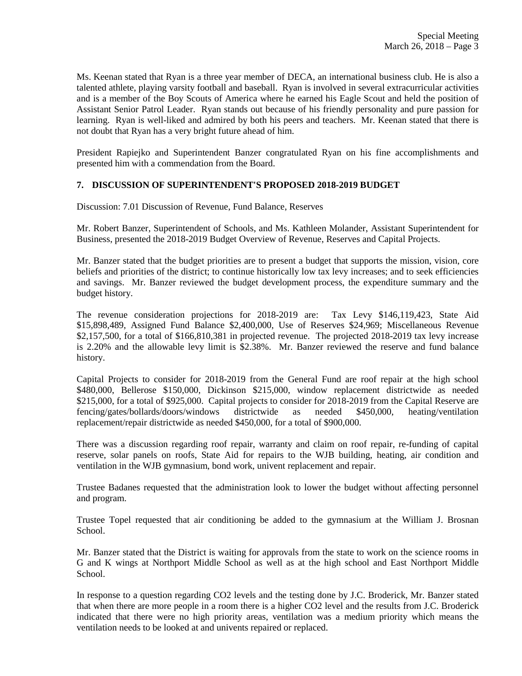Ms. Keenan stated that Ryan is a three year member of DECA, an international business club. He is also a talented athlete, playing varsity football and baseball. Ryan is involved in several extracurricular activities and is a member of the Boy Scouts of America where he earned his Eagle Scout and held the position of Assistant Senior Patrol Leader. Ryan stands out because of his friendly personality and pure passion for learning. Ryan is well-liked and admired by both his peers and teachers. Mr. Keenan stated that there is not doubt that Ryan has a very bright future ahead of him.

President Rapiejko and Superintendent Banzer congratulated Ryan on his fine accomplishments and presented him with a commendation from the Board.

# **7. DISCUSSION OF SUPERINTENDENT'S PROPOSED 2018-2019 BUDGET**

Discussion: 7.01 Discussion of Revenue, Fund Balance, Reserves

Mr. Robert Banzer, Superintendent of Schools, and Ms. Kathleen Molander, Assistant Superintendent for Business, presented the 2018-2019 Budget Overview of Revenue, Reserves and Capital Projects.

Mr. Banzer stated that the budget priorities are to present a budget that supports the mission, vision, core beliefs and priorities of the district; to continue historically low tax levy increases; and to seek efficiencies and savings. Mr. Banzer reviewed the budget development process, the expenditure summary and the budget history.

The revenue consideration projections for 2018-2019 are: Tax Levy \$146,119,423, State Aid \$15,898,489, Assigned Fund Balance \$2,400,000, Use of Reserves \$24,969; Miscellaneous Revenue \$2,157,500, for a total of \$166,810,381 in projected revenue. The projected 2018-2019 tax levy increase is 2.20% and the allowable levy limit is \$2.38%. Mr. Banzer reviewed the reserve and fund balance history.

Capital Projects to consider for 2018-2019 from the General Fund are roof repair at the high school \$480,000, Bellerose \$150,000, Dickinson \$215,000, window replacement districtwide as needed \$215,000, for a total of \$925,000. Capital projects to consider for 2018-2019 from the Capital Reserve are fencing/gates/bollards/doors/windows districtwide as needed \$450,000, heating/ventilation replacement/repair districtwide as needed \$450,000, for a total of \$900,000.

There was a discussion regarding roof repair, warranty and claim on roof repair, re-funding of capital reserve, solar panels on roofs, State Aid for repairs to the WJB building, heating, air condition and ventilation in the WJB gymnasium, bond work, univent replacement and repair.

Trustee Badanes requested that the administration look to lower the budget without affecting personnel and program.

Trustee Topel requested that air conditioning be added to the gymnasium at the William J. Brosnan School.

Mr. Banzer stated that the District is waiting for approvals from the state to work on the science rooms in G and K wings at Northport Middle School as well as at the high school and East Northport Middle School.

In response to a question regarding CO2 levels and the testing done by J.C. Broderick, Mr. Banzer stated that when there are more people in a room there is a higher CO2 level and the results from J.C. Broderick indicated that there were no high priority areas, ventilation was a medium priority which means the ventilation needs to be looked at and univents repaired or replaced.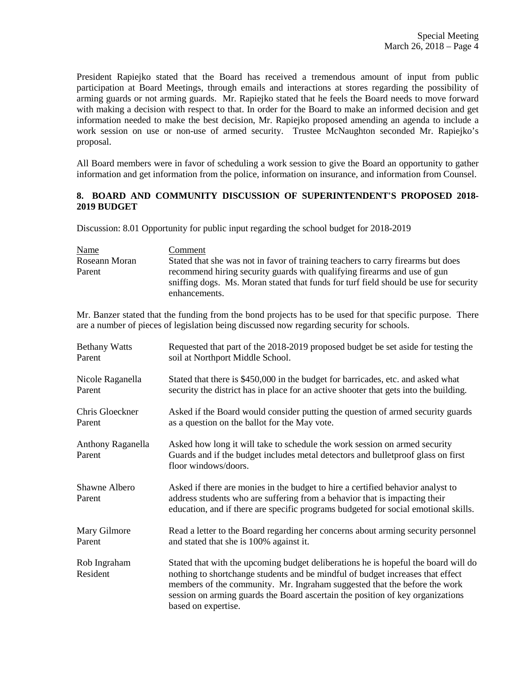President Rapiejko stated that the Board has received a tremendous amount of input from public participation at Board Meetings, through emails and interactions at stores regarding the possibility of arming guards or not arming guards. Mr. Rapiejko stated that he feels the Board needs to move forward with making a decision with respect to that. In order for the Board to make an informed decision and get information needed to make the best decision, Mr. Rapiejko proposed amending an agenda to include a work session on use or non-use of armed security. Trustee McNaughton seconded Mr. Rapiejko's proposal.

All Board members were in favor of scheduling a work session to give the Board an opportunity to gather information and get information from the police, information on insurance, and information from Counsel.

### **8. BOARD AND COMMUNITY DISCUSSION OF SUPERINTENDENT'S PROPOSED 2018- 2019 BUDGET**

Discussion: 8.01 Opportunity for public input regarding the school budget for 2018-2019

| <b>Name</b>   | Comment                                                                                                                                                          |
|---------------|------------------------------------------------------------------------------------------------------------------------------------------------------------------|
| Roseann Moran | Stated that she was not in favor of training teachers to carry firearms but does                                                                                 |
| Parent        | recommend hiring security guards with qualifying firearms and use of gun<br>sniffing dogs. Ms. Moran stated that funds for turf field should be use for security |
|               | enhancements.                                                                                                                                                    |

Mr. Banzer stated that the funding from the bond projects has to be used for that specific purpose. There are a number of pieces of legislation being discussed now regarding security for schools.

| <b>Bethany Watts</b>        | Requested that part of the 2018-2019 proposed budget be set aside for testing the                                                                                                                                                                                                                                                                          |
|-----------------------------|------------------------------------------------------------------------------------------------------------------------------------------------------------------------------------------------------------------------------------------------------------------------------------------------------------------------------------------------------------|
| Parent                      | soil at Northport Middle School.                                                                                                                                                                                                                                                                                                                           |
| Nicole Raganella            | Stated that there is \$450,000 in the budget for barricades, etc. and asked what                                                                                                                                                                                                                                                                           |
| Parent                      | security the district has in place for an active shooter that gets into the building.                                                                                                                                                                                                                                                                      |
| Chris Gloeckner             | Asked if the Board would consider putting the question of armed security guards                                                                                                                                                                                                                                                                            |
| Parent                      | as a question on the ballot for the May vote.                                                                                                                                                                                                                                                                                                              |
| Anthony Raganella<br>Parent | Asked how long it will take to schedule the work session on armed security<br>Guards and if the budget includes metal detectors and bulletproof glass on first<br>floor windows/doors.                                                                                                                                                                     |
| Shawne Albero<br>Parent     | Asked if there are monies in the budget to hire a certified behavior analyst to<br>address students who are suffering from a behavior that is impacting their<br>education, and if there are specific programs budgeted for social emotional skills.                                                                                                       |
| Mary Gilmore                | Read a letter to the Board regarding her concerns about arming security personnel                                                                                                                                                                                                                                                                          |
| Parent                      | and stated that she is 100% against it.                                                                                                                                                                                                                                                                                                                    |
| Rob Ingraham<br>Resident    | Stated that with the upcoming budget deliberations he is hopeful the board will do<br>nothing to shortchange students and be mindful of budget increases that effect<br>members of the community. Mr. Ingraham suggested that the before the work<br>session on arming guards the Board ascertain the position of key organizations<br>based on expertise. |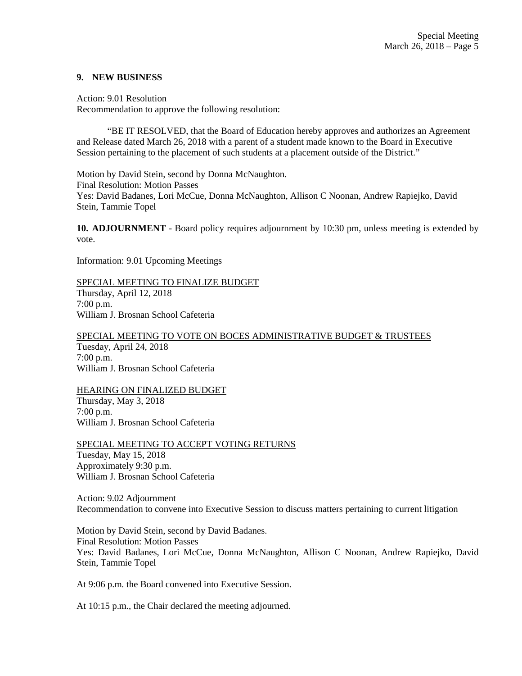#### **9. NEW BUSINESS**

Action: 9.01 Resolution Recommendation to approve the following resolution:

 "BE IT RESOLVED, that the Board of Education hereby approves and authorizes an Agreement and Release dated March 26, 2018 with a parent of a student made known to the Board in Executive Session pertaining to the placement of such students at a placement outside of the District."

Motion by David Stein, second by Donna McNaughton. Final Resolution: Motion Passes Yes: David Badanes, Lori McCue, Donna McNaughton, Allison C Noonan, Andrew Rapiejko, David Stein, Tammie Topel

**10. ADJOURNMENT** - Board policy requires adjournment by 10:30 pm, unless meeting is extended by vote.

Information: 9.01 Upcoming Meetings

### SPECIAL MEETING TO FINALIZE BUDGET

Thursday, April 12, 2018 7:00 p.m. William J. Brosnan School Cafeteria

SPECIAL MEETING TO VOTE ON BOCES ADMINISTRATIVE BUDGET & TRUSTEES

Tuesday, April 24, 2018 7:00 p.m. William J. Brosnan School Cafeteria

HEARING ON FINALIZED BUDGET Thursday, May 3, 2018 7:00 p.m. William J. Brosnan School Cafeteria

SPECIAL MEETING TO ACCEPT VOTING RETURNS Tuesday, May 15, 2018 Approximately 9:30 p.m. William J. Brosnan School Cafeteria

Action: 9.02 Adjournment Recommendation to convene into Executive Session to discuss matters pertaining to current litigation

Motion by David Stein, second by David Badanes. Final Resolution: Motion Passes Yes: David Badanes, Lori McCue, Donna McNaughton, Allison C Noonan, Andrew Rapiejko, David Stein, Tammie Topel

At 9:06 p.m. the Board convened into Executive Session.

At 10:15 p.m., the Chair declared the meeting adjourned.